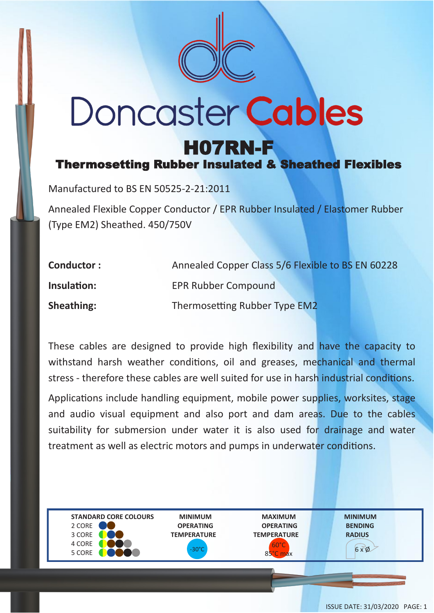

## **Doncaster Cables** H07RN-F

Thermosetting Rubber Insulated & Sheathed Flexibles

Manufactured to BS EN 50525-2-21:2011

Annealed Flexible Copper Conductor / EPR Rubber Insulated / Elastomer Rubber (Type EM2) Sheathed. 450/750V

| <b>Conductor:</b> | Annealed Copper Class 5/6 Flexible to BS EN 60228 |
|-------------------|---------------------------------------------------|
| Insulation:       | <b>EPR Rubber Compound</b>                        |
| <b>Sheathing:</b> | Thermosetting Rubber Type EM2                     |

These cables are designed to provide high flexibility and have the capacity to withstand harsh weather conditions, oil and greases, mechanical and thermal stress - therefore these cables are well suited for use in harsh industrial conditions.

Applications include handling equipment, mobile power supplies, worksites, stage and audio visual equipment and also port and dam areas. Due to the cables suitability for submersion under water it is also used for drainage and water treatment as well as electric motors and pumps in underwater conditions.



85°C max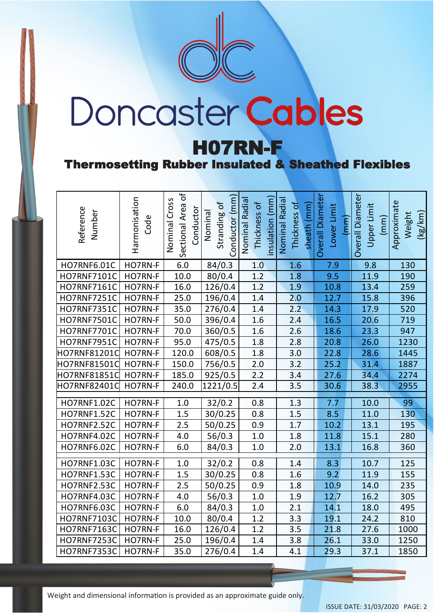

# Doncaster Cables

#### H07RN-F

#### Thermosetting Rubber Insulated & Sheathed Flexibles

| Reference<br>Number | Harmonisation<br>Code | Sectional Area of<br>Cross<br>Conductor<br>Nominal | Conductor (mm<br>Stranding of<br>Nominal | nsulation (mm)<br>Nominal Radial<br>Thickness of | Nominal Radia<br>Thickness of<br>sheath (mm) | <b>Overall Diameter</b><br>Lower Limit<br>(mm) | Overall Diameter<br>Upper Limit<br>(mm) | Approximate<br>(kg/km)<br>Weight |
|---------------------|-----------------------|----------------------------------------------------|------------------------------------------|--------------------------------------------------|----------------------------------------------|------------------------------------------------|-----------------------------------------|----------------------------------|
| HO7RNF6.01C         | HO7RN-F               | 6.0                                                | 84/0.3                                   | 1.0                                              | 1.6                                          | 7.9                                            | 9.8                                     | 130                              |
| HO7RNF7101C         | HO7RN-F               | 10.0                                               | 80/0.4                                   | 1.2                                              | 1.8                                          | 9.5                                            | 11.9                                    | 190                              |
| HO7RNF7161C         | HO7RN-F               | 16.0                                               | 126/0.4                                  | 1.2                                              | 1.9                                          | 10.8                                           | 13.4                                    | 259                              |
| HO7RNF7251C         | HO7RN-F               | 25.0                                               | 196/0.4                                  | 1.4                                              | 2.0                                          | 12.7                                           | 15.8                                    | 396                              |
| <b>HO7RNF7351C</b>  | HO7RN-F               | 35.0                                               | 276/0.4                                  | 1.4                                              | 2.2                                          | 14.3                                           | 17.9                                    | 520                              |
| HO7RNF7501C         | HO7RN-F               | 50.0                                               | 396/0.4                                  | 1.6                                              | 2.4                                          | 16.5                                           | 20.6                                    | 719                              |
| <b>HO7RNF7701C</b>  | HO7RN-F               | 70.0                                               | 360/0.5                                  | 1.6                                              | 2.6                                          | 18.6                                           | 23.3                                    | 947                              |
| <b>HO7RNF7951C</b>  | HO7RN-F               | 95.0                                               | 475/0.5                                  | 1.8                                              | 2.8                                          | 20.8                                           | 26.0                                    | 1230                             |
| HO7RNF81201C        | HO7RN-F               | 120.0                                              | 608/0.5                                  | 1.8                                              | 3.0                                          | 22.8                                           | 28.6                                    | 1445                             |
| HO7RNF81501C        | HO7RN-F               | 150.0                                              | 756/0.5                                  | 2.0                                              | 3.2                                          | 25.2                                           | 31.4                                    | 1887                             |
| HO7RNF81851C        | HO7RN-F               | 185.0                                              | 925/0.5                                  | 2.2                                              | 3.4                                          | 27.6                                           | 34.4                                    | 2274                             |
| HO7RNF82401C        | HO7RN-F               | 240.0                                              | 1221/0.5                                 | 2.4                                              | 3.5                                          | 30.6                                           | 38.3                                    | 2955                             |
| HO7RNF1.02C         | HO7RN-F               | 1.0                                                | 32/0.2                                   | 0.8                                              | 1.3                                          | 7.7                                            | 10.0                                    | 99                               |
| <b>HO7RNF1.52C</b>  | HO7RN-F               | 1.5                                                | 30/0.25                                  | 0.8                                              | 1.5                                          | 8.5                                            | 11.0                                    | 130                              |
| <b>HO7RNF2.52C</b>  | HO7RN-F               | 2.5                                                | 50/0.25                                  | 0.9                                              | 1.7                                          | 10.2                                           | 13.1                                    | 195                              |
| <b>HO7RNF4.02C</b>  | HO7RN-F               | 4.0                                                | 56/0.3                                   | $1.0$                                            | 1.8                                          | 11.8                                           | 15.1                                    | 280                              |
| HO7RNF6.02C         | HO7RN-F               | 6.0                                                | 84/0.3                                   | 1.0                                              | 2.0                                          | 13.1                                           | 16.8                                    | 360                              |
|                     |                       |                                                    |                                          |                                                  |                                              |                                                |                                         |                                  |
| <b>HO7RNF1.03C</b>  | HO7RN-F               | 1.0                                                | 32/0.2                                   | 0.8                                              | 1.4                                          | 8.3                                            | 10.7                                    | 125                              |
| <b>HO7RNF1.53C</b>  | HO7RN-F               | 1.5                                                | 30/0.25                                  | 0.8                                              | 1.6                                          | 9.2                                            | 11.9                                    | 155                              |
| <b>HO7RNF2.53C</b>  | HO7RN-F               | 2.5                                                | 50/0.25                                  | 0.9                                              | 1.8                                          | 10.9                                           | 14.0                                    | 235                              |
| <b>HO7RNF4.03C</b>  | HO7RN-F               | 4.0                                                | 56/0.3                                   | $1.0\,$                                          | 1.9                                          | 12.7                                           | 16.2                                    | 305                              |
| <b>HO7RNF6.03C</b>  | HO7RN-F               | 6.0                                                | 84/0.3                                   | 1.0                                              | 2.1                                          | 14.1                                           | 18.0                                    | 495                              |
| HO7RNF7103C         | HO7RN-F               | 10.0                                               | 80/0.4                                   | 1.2                                              | 3.3                                          | 19.1                                           | 24.2                                    | 810                              |
| <b>HO7RNF7163C</b>  | HO7RN-F               | 16.0                                               | 126/0.4                                  | 1.2                                              | 3.5                                          | 21.8                                           | 27.6                                    | 1000                             |
| <b>HO7RNF7253C</b>  | HO7RN-F               | 25.0                                               | 196/0.4                                  | 1.4                                              | 3.8                                          | 26.1                                           | 33.0                                    | 1250                             |
| <b>HO7RNF7353C</b>  | HO7RN-F               | 35.0                                               | 276/0.4                                  | 1.4                                              | 4.1                                          | 29.3                                           | 37.1                                    | 1850                             |

Weight and dimensional information is provided as an approximate guide only.